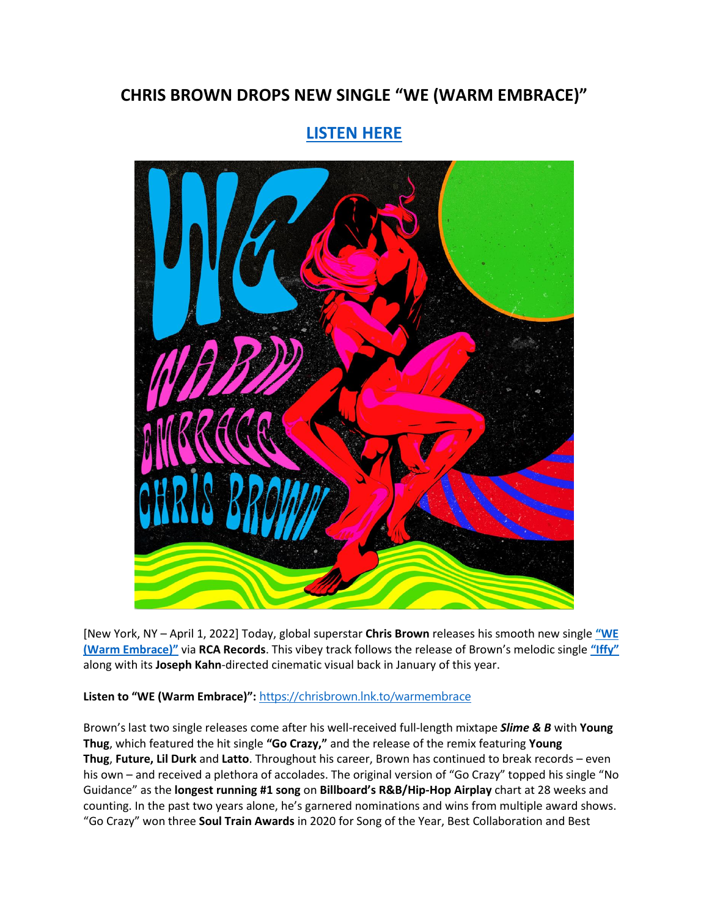## **CHRIS BROWN DROPS NEW SINGLE "WE (WARM EMBRACE)"**

## **[LISTEN HERE](https://eur01.safelinks.protection.outlook.com/?url=https%3A%2F%2Fchrisbrown.lnk.to%2Fwarmembrace&data=04%7C01%7Cnoelle.janasiewicz.sme%40sonymusic.com%7C2c6d7b306d5e4ecf8c1408da13e8bc37%7Cf0aff3b791a54aaeaf71c63e1dda2049%7C0%7C0%7C637844187619937889%7CUnknown%7CTWFpbGZsb3d8eyJWIjoiMC4wLjAwMDAiLCJQIjoiV2luMzIiLCJBTiI6Ik1haWwiLCJXVCI6Mn0%3D%7C3000&sdata=lqnWhc92KQ357Zv1QcpxI%2BKKg%2Bt%2BfOUT%2Fzc%2FSppGsm0%3D&reserved=0)**



[New York, NY – April 1, 2022] Today, global superstar **Chris Brown** releases his smooth new single **"[WE](https://eur01.safelinks.protection.outlook.com/?url=https%3A%2F%2Fchrisbrown.lnk.to%2Fwarmembrace&data=04%7C01%7Cnoelle.janasiewicz.sme%40sonymusic.com%7C2c6d7b306d5e4ecf8c1408da13e8bc37%7Cf0aff3b791a54aaeaf71c63e1dda2049%7C0%7C0%7C637844187619937889%7CUnknown%7CTWFpbGZsb3d8eyJWIjoiMC4wLjAwMDAiLCJQIjoiV2luMzIiLCJBTiI6Ik1haWwiLCJXVCI6Mn0%3D%7C3000&sdata=lqnWhc92KQ357Zv1QcpxI%2BKKg%2Bt%2BfOUT%2Fzc%2FSppGsm0%3D&reserved=0)  [\(Warm Embrace\)"](https://eur01.safelinks.protection.outlook.com/?url=https%3A%2F%2Fchrisbrown.lnk.to%2Fwarmembrace&data=04%7C01%7Cnoelle.janasiewicz.sme%40sonymusic.com%7C2c6d7b306d5e4ecf8c1408da13e8bc37%7Cf0aff3b791a54aaeaf71c63e1dda2049%7C0%7C0%7C637844187619937889%7CUnknown%7CTWFpbGZsb3d8eyJWIjoiMC4wLjAwMDAiLCJQIjoiV2luMzIiLCJBTiI6Ik1haWwiLCJXVCI6Mn0%3D%7C3000&sdata=lqnWhc92KQ357Zv1QcpxI%2BKKg%2Bt%2BfOUT%2Fzc%2FSppGsm0%3D&reserved=0)** via **RCA Records**. This vibey track follows the release of Brown's melodic single **["Iffy"](https://eur01.safelinks.protection.outlook.com/?url=https%3A%2F%2Fsmarturl.it%2Fxiffy%2FYouTube&data=04%7C01%7Cnoelle.janasiewicz.sme%40sonymusic.com%7C2c6d7b306d5e4ecf8c1408da13e8bc37%7Cf0aff3b791a54aaeaf71c63e1dda2049%7C0%7C0%7C637844187619937889%7CUnknown%7CTWFpbGZsb3d8eyJWIjoiMC4wLjAwMDAiLCJQIjoiV2luMzIiLCJBTiI6Ik1haWwiLCJXVCI6Mn0%3D%7C3000&sdata=QxpYQasOZSzQEaCBxpRNa2OOP15%2FN6LIu27eWQyhKqc%3D&reserved=0)** along with its **Joseph Kahn**-directed cinematic visual back in January of this year.

## **Listen to "WE (Warm Embrace)":** [https://chrisbrown.lnk.to/warmembrace](https://eur01.safelinks.protection.outlook.com/?url=https%3A%2F%2Fchrisbrown.lnk.to%2Fwarmembrace&data=04%7C01%7Cnoelle.janasiewicz.sme%40sonymusic.com%7C2c6d7b306d5e4ecf8c1408da13e8bc37%7Cf0aff3b791a54aaeaf71c63e1dda2049%7C0%7C0%7C637844187619937889%7CUnknown%7CTWFpbGZsb3d8eyJWIjoiMC4wLjAwMDAiLCJQIjoiV2luMzIiLCJBTiI6Ik1haWwiLCJXVCI6Mn0%3D%7C3000&sdata=lqnWhc92KQ357Zv1QcpxI%2BKKg%2Bt%2BfOUT%2Fzc%2FSppGsm0%3D&reserved=0)

Brown's last two single releases come after his well-received full-length mixtape *Slime & B* with **Young Thug**, which featured the hit single **"Go Crazy,"** and the release of the remix featuring **Young Thug**, **Future, Lil Durk** and **Latto**. Throughout his career, Brown has continued to break records – even his own – and received a plethora of accolades. The original version of "Go Crazy" topped his single "No Guidance" as the **longest running #1 song** on **Billboard's R&B/Hip-Hop Airplay** chart at 28 weeks and counting. In the past two years alone, he's garnered nominations and wins from multiple award shows. "Go Crazy" won three **Soul Train Awards** in 2020 for Song of the Year, Best Collaboration and Best